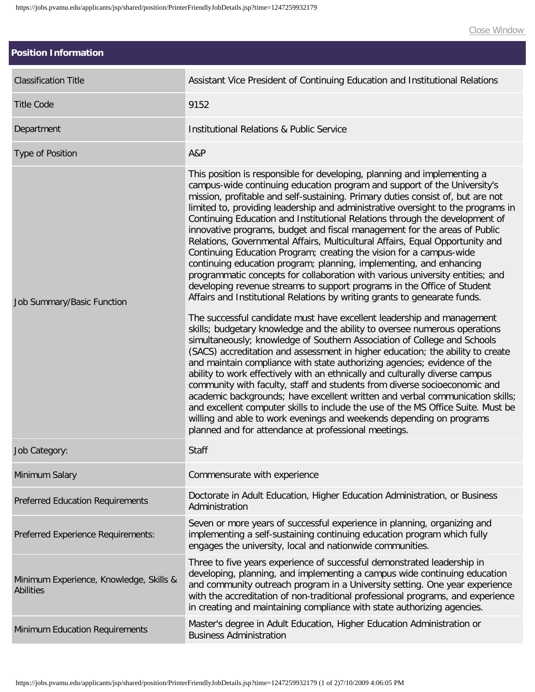| <b>Position Information</b>                                 |                                                                                                                                                                                                                                                                                                                                                                                                                                                                                                                                                                                                                                                                                                                                                                                                                                                                                                                                                                                                                                                                                                                                                                                                                                                                                                                                                                                                                                                                                                                                                                                                                                                                                                                                                                                                                                     |
|-------------------------------------------------------------|-------------------------------------------------------------------------------------------------------------------------------------------------------------------------------------------------------------------------------------------------------------------------------------------------------------------------------------------------------------------------------------------------------------------------------------------------------------------------------------------------------------------------------------------------------------------------------------------------------------------------------------------------------------------------------------------------------------------------------------------------------------------------------------------------------------------------------------------------------------------------------------------------------------------------------------------------------------------------------------------------------------------------------------------------------------------------------------------------------------------------------------------------------------------------------------------------------------------------------------------------------------------------------------------------------------------------------------------------------------------------------------------------------------------------------------------------------------------------------------------------------------------------------------------------------------------------------------------------------------------------------------------------------------------------------------------------------------------------------------------------------------------------------------------------------------------------------------|
| <b>Classification Title</b>                                 | Assistant Vice President of Continuing Education and Institutional Relations                                                                                                                                                                                                                                                                                                                                                                                                                                                                                                                                                                                                                                                                                                                                                                                                                                                                                                                                                                                                                                                                                                                                                                                                                                                                                                                                                                                                                                                                                                                                                                                                                                                                                                                                                        |
| <b>Title Code</b>                                           | 9152                                                                                                                                                                                                                                                                                                                                                                                                                                                                                                                                                                                                                                                                                                                                                                                                                                                                                                                                                                                                                                                                                                                                                                                                                                                                                                                                                                                                                                                                                                                                                                                                                                                                                                                                                                                                                                |
| Department                                                  | <b>Institutional Relations &amp; Public Service</b>                                                                                                                                                                                                                                                                                                                                                                                                                                                                                                                                                                                                                                                                                                                                                                                                                                                                                                                                                                                                                                                                                                                                                                                                                                                                                                                                                                                                                                                                                                                                                                                                                                                                                                                                                                                 |
| Type of Position                                            | A&P                                                                                                                                                                                                                                                                                                                                                                                                                                                                                                                                                                                                                                                                                                                                                                                                                                                                                                                                                                                                                                                                                                                                                                                                                                                                                                                                                                                                                                                                                                                                                                                                                                                                                                                                                                                                                                 |
| Job Summary/Basic Function                                  | This position is responsible for developing, planning and implementing a<br>campus-wide continuing education program and support of the University's<br>mission, profitable and self-sustaining. Primary duties consist of, but are not<br>limited to, providing leadership and administrative oversight to the programs in<br>Continuing Education and Institutional Relations through the development of<br>innovative programs, budget and fiscal management for the areas of Public<br>Relations, Governmental Affairs, Multicultural Affairs, Equal Opportunity and<br>Continuing Education Program; creating the vision for a campus-wide<br>continuing education program; planning, implementing, and enhancing<br>programmatic concepts for collaboration with various university entities; and<br>developing revenue streams to support programs in the Office of Student<br>Affairs and Institutional Relations by writing grants to genearate funds.<br>The successful candidate must have excellent leadership and management<br>skills; budgetary knowledge and the ability to oversee numerous operations<br>simultaneously; knowledge of Southern Association of College and Schools<br>(SACS) accreditation and assessment in higher education; the ability to create<br>and maintain compliance with state authorizing agencies; evidence of the<br>ability to work effectively with an ethnically and culturally diverse campus<br>community with faculty, staff and students from diverse socioeconomic and<br>academic backgrounds; have excellent written and verbal communication skills;<br>and excellent computer skills to include the use of the MS Office Suite. Must be<br>willing and able to work evenings and weekends depending on programs<br>planned and for attendance at professional meetings. |
| Job Category:                                               | Staff                                                                                                                                                                                                                                                                                                                                                                                                                                                                                                                                                                                                                                                                                                                                                                                                                                                                                                                                                                                                                                                                                                                                                                                                                                                                                                                                                                                                                                                                                                                                                                                                                                                                                                                                                                                                                               |
| Minimum Salary                                              | Commensurate with experience                                                                                                                                                                                                                                                                                                                                                                                                                                                                                                                                                                                                                                                                                                                                                                                                                                                                                                                                                                                                                                                                                                                                                                                                                                                                                                                                                                                                                                                                                                                                                                                                                                                                                                                                                                                                        |
| <b>Preferred Education Requirements</b>                     | Doctorate in Adult Education, Higher Education Administration, or Business<br>Administration                                                                                                                                                                                                                                                                                                                                                                                                                                                                                                                                                                                                                                                                                                                                                                                                                                                                                                                                                                                                                                                                                                                                                                                                                                                                                                                                                                                                                                                                                                                                                                                                                                                                                                                                        |
| Preferred Experience Requirements:                          | Seven or more years of successful experience in planning, organizing and<br>implementing a self-sustaining continuing education program which fully<br>engages the university, local and nationwide communities.                                                                                                                                                                                                                                                                                                                                                                                                                                                                                                                                                                                                                                                                                                                                                                                                                                                                                                                                                                                                                                                                                                                                                                                                                                                                                                                                                                                                                                                                                                                                                                                                                    |
| Minimum Experience, Knowledge, Skills &<br><b>Abilities</b> | Three to five years experience of successful demonstrated leadership in<br>developing, planning, and implementing a campus wide continuing education<br>and community outreach program in a University setting. One year experience<br>with the accreditation of non-traditional professional programs, and experience<br>in creating and maintaining compliance with state authorizing agencies.                                                                                                                                                                                                                                                                                                                                                                                                                                                                                                                                                                                                                                                                                                                                                                                                                                                                                                                                                                                                                                                                                                                                                                                                                                                                                                                                                                                                                                   |
| Minimum Education Requirements                              | Master's degree in Adult Education, Higher Education Administration or<br><b>Business Administration</b>                                                                                                                                                                                                                                                                                                                                                                                                                                                                                                                                                                                                                                                                                                                                                                                                                                                                                                                                                                                                                                                                                                                                                                                                                                                                                                                                                                                                                                                                                                                                                                                                                                                                                                                            |